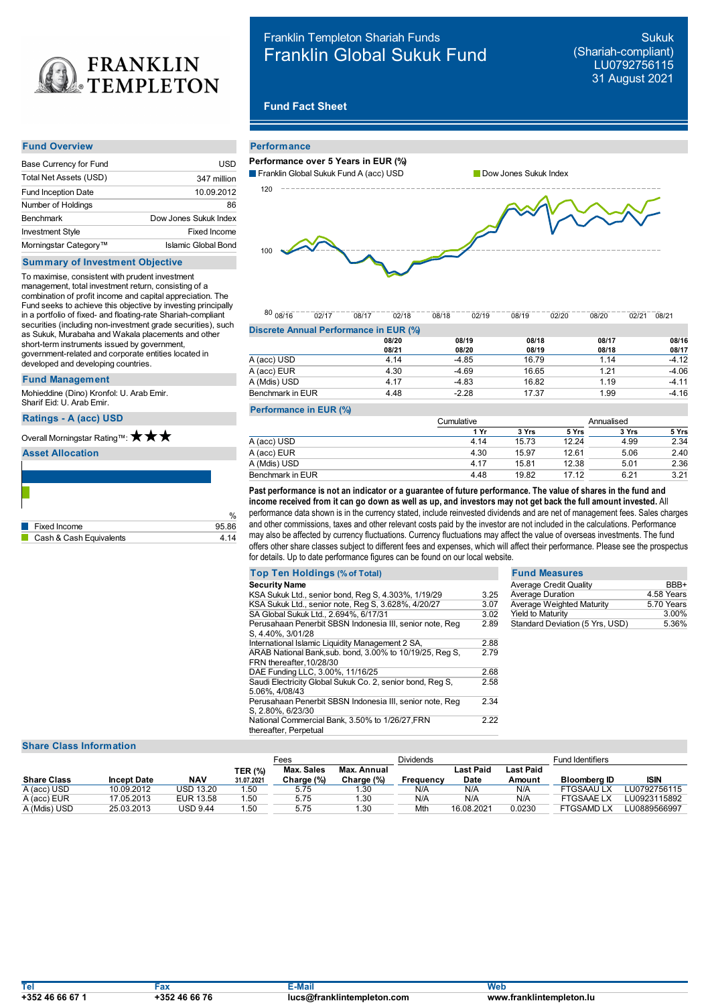

# Franklin Templeton Shariah Funds Franklin Global Sukuk Fund

Sukuk (Shariah-compliant) LU0792756115 31 August 2021

# **Fund Fact Sheet**

### **Fund Overview**

| Base Currency for Fund            | USD                   |
|-----------------------------------|-----------------------|
| Total Net Assets (USD)            | 347 million           |
| <b>Fund Inception Date</b>        | 10.09.2012            |
| Number of Holdings                | 86                    |
| <b>Benchmark</b>                  | Dow Jones Sukuk Index |
| <b>Investment Style</b>           | Fixed Income          |
| Morningstar Category <sup>™</sup> | Islamic Global Bond   |

# **Summary of Investment Objective**

To maximise, consistent with prudent investment management, total investment return, consisting of a combination of profit income and capital appreciation. The Fund seeks to achieve this objective by investing principally in a portfolio of fixed- and floating-rate Shariah-compliant securities (including non-investment grade securities), such as Sukuk, Murabaha and Wakala placements and other short-term instruments issued by government, government-related and corporate entities located in developed and developing countries.

## **Fund Management**

Mohieddine (Dino) Kronfol: U. Arab Emir. Sharif Eid: U. Arab Emir.

## **Ratings -A (acc) USD**

# Overall Morningstar Rating™: ★ ★ ★

# **Asset Allocation**

| Fixed Income            | 95.86 |
|-------------------------|-------|
| Cash & Cash Equivalents | -14   |

| <b>Performance</b>                     |                       |
|----------------------------------------|-----------------------|
| Performance over 5 Years in EUR (%)    |                       |
| Franklin Global Sukuk Fund A (acc) USD | Dow Jones Sukuk Index |
| 120                                    |                       |
|                                        |                       |
|                                        |                       |
| 100                                    |                       |
|                                        |                       |
|                                        |                       |

|                                        |  |  |  |  | $\frac{80}{108/16} \cdot \frac{02/17}{02/17} \cdot \frac{08/17}{02/18} \cdot \frac{02/18}{08/18} \cdot \frac{02/19}{02/19} \cdot \frac{08/19}{08/20} \cdot \frac{02/20}{02/20} \cdot \frac{08/20}{02/21} \cdot \frac{08/21}{08/21}$ |  |
|----------------------------------------|--|--|--|--|-------------------------------------------------------------------------------------------------------------------------------------------------------------------------------------------------------------------------------------|--|
| Discrete Annual Performance in EUR (%) |  |  |  |  |                                                                                                                                                                                                                                     |  |

|                  | 08/20 | 08/19   | 08/18 | 08/17 | 08/16   |
|------------------|-------|---------|-------|-------|---------|
|                  | 08/21 | 08/20   | 08/19 | 08/18 | 08/17   |
| A (acc) USD      | 4.14  | $-4.85$ | 16.79 | 1.14  | $-4.12$ |
| A (acc) EUR      | 4.30  | $-4.69$ | 16.65 | 1.21  | $-4.06$ |
| A (Mdis) USD     | 4.17  | $-4.83$ | 16.82 | 1.19  | $-4.11$ |
| Benchmark in EUR | 4.48  | $-2.28$ | 17.37 | 1.99  | $-4.16$ |
|                  |       |         |       |       |         |

## **Performance in EUR (%)**

|                  | Cumulative |       |       |       |       |  |
|------------------|------------|-------|-------|-------|-------|--|
|                  | 1 Yr       | 3 Yrs | 5 Yrs | 3 Yrs | 5 Yrs |  |
| A (acc) USD      | 4.14       | 15.73 | 12.24 | 4.99  | 2.34  |  |
| A (acc) EUR      | 4.30       | 15.97 | 12.61 | 5.06  | 2.40  |  |
| A (Mdis) USD     | 4.17       | 15.81 | 12.38 | 5.01  | 2.36  |  |
| Benchmark in EUR | 4.48       | 19.82 | 17.12 | 6.21  | 3.21  |  |

 $_{\%}$  performance data shown is in the currency stated, include reinvested dividends and are net of management fees. Sales charges income received from it can go down as well as up, and investors may not get back the full amount invested. All<br>performance data shown is in the currency stated, include reinvested dividends and are net of management fees. and other commissions, taxes and other relevant costs paid by the investor are not included in the calculations. Performance may also be affected by currency fluctuations. Currency fluctuations may affect the value of overseas investments. The fund offers other share classes subject to different fees and expenses, which will affect their performance. Please see the prospectus for details. Up to date performance figures can be found on our local website.

| <b>Top Ten Holdings (% of Total)</b>                      |      | <b>Fund Measures</b>            |            |
|-----------------------------------------------------------|------|---------------------------------|------------|
| <b>Security Name</b>                                      |      | <b>Average Credit Quality</b>   | BBB+       |
| KSA Sukuk Ltd., senior bond, Reg S, 4.303%, 1/19/29       | 3.25 | <b>Average Duration</b>         | 4.58 Years |
| KSA Sukuk Ltd., senior note, Reg S, 3.628%, 4/20/27       | 3.07 | Average Weighted Maturity       | 5.70 Years |
| SA Global Sukuk Ltd., 2.694%, 6/17/31                     | 3.02 | <b>Yield to Maturity</b>        | 3.00%      |
| Perusahaan Penerbit SBSN Indonesia III, senior note, Reg  | 2.89 | Standard Deviation (5 Yrs, USD) | 5.36%      |
| S. 4.40%, 3/01/28                                         |      |                                 |            |
| International Islamic Liquidity Management 2 SA,          | 2.88 |                                 |            |
| ARAB National Bank, sub. bond, 3.00% to 10/19/25, Reg S,  | 2.79 |                                 |            |
| FRN thereafter, 10/28/30                                  |      |                                 |            |
| DAE Funding LLC, 3.00%, 11/16/25                          | 2.68 |                                 |            |
| Saudi Electricity Global Sukuk Co. 2, senior bond, Reg S, | 2.58 |                                 |            |
| 5.06%, 4/08/43                                            |      |                                 |            |
| Perusahaan Penerbit SBSN Indonesia III, senior note, Reg  | 2.34 |                                 |            |
| S, 2.80%, 6/23/30                                         |      |                                 |            |
| National Commercial Bank, 3.50% to 1/26/27, FRN           | 2.22 |                                 |            |
| thereafter, Perpetual                                     |      |                                 |            |

# **Share Class Information**

|                    |                    |           |                | -ees              |             | <b>Dividends</b> |            |                  | <b>Fund Identifiers</b> |              |
|--------------------|--------------------|-----------|----------------|-------------------|-------------|------------------|------------|------------------|-------------------------|--------------|
|                    |                    |           | <b>TER (%)</b> | <b>Max. Sales</b> | Max. Annual |                  | Last Paid  | <b>Last Paid</b> |                         |              |
| <b>Share Class</b> | <b>Incept Date</b> | NAV       | 31.07.2021     | Charge (%)        | Charge (%)  | Freauency        | Date       | Amount           | Bloomberg ID            | <b>ISIN</b>  |
| A (acc) USD        | 10.09.2012         | USD 13.20 | .50            | 5.75              | .30         | N/A              | N/A        | N/A              | FTGSAAU LX              | LU0792756115 |
| A (acc) EUR        | 17.05.2013         | EUR 13.58 | .50            | 5.75              | 1.30        | N/A              | N/A        | N/A              | <b>FTGSAAELX</b>        | LU0923115892 |
| A (Mdis) USD       | 25.03.2013         | USD 9.44  | 50،،           | 5.75              | l.30        | Mth              | 16.08.2021 | 0.0230           | <b>FTGSAMD LX</b>       | U0889566997  |